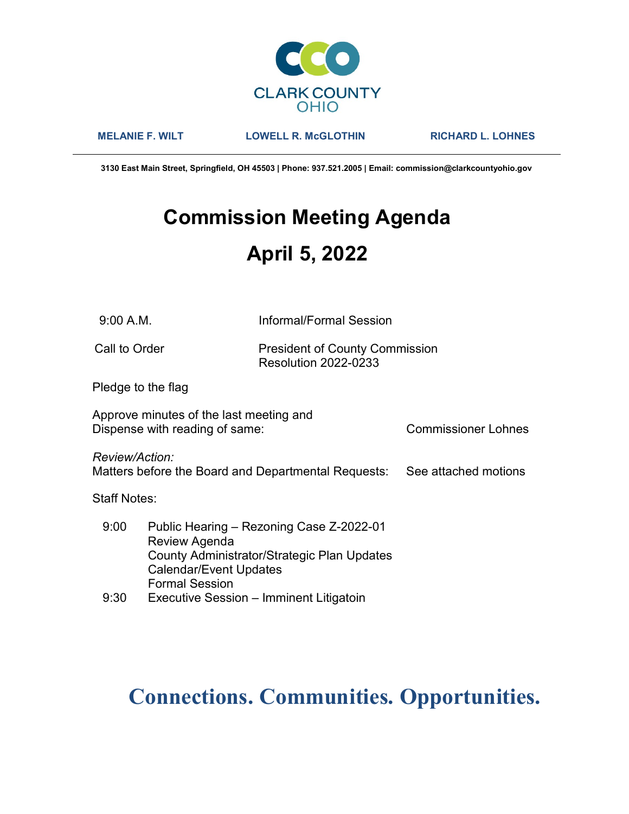

MELANIE F. WILT LOWELL R. McGLOTHIN RICHARD L. LOHNES

3130 East Main Street, Springfield, OH 45503 | Phone: 937.521.2005 | Email: commission@clarkcountyohio.gov

# Commission Meeting Agenda April 5, 2022

9:00 A.M. Informal/Formal Session

Call to Order **President of County Commission** Resolution 2022-0233

Pledge to the flag

Approve minutes of the last meeting and Dispense with reading of same: Commissioner Lohnes

Review/Action:

Matters before the Board and Departmental Requests: See attached motions

Staff Notes:

| 9:00 | Public Hearing - Rezoning Case Z-2022-01    |
|------|---------------------------------------------|
|      | Review Agenda                               |
|      | County Administrator/Strategic Plan Updates |
|      | <b>Calendar/Event Updates</b>               |
|      | <b>Formal Session</b>                       |
| 9:30 | Executive Session - Imminent Litigatoin     |

# Connections. Communities. Opportunities.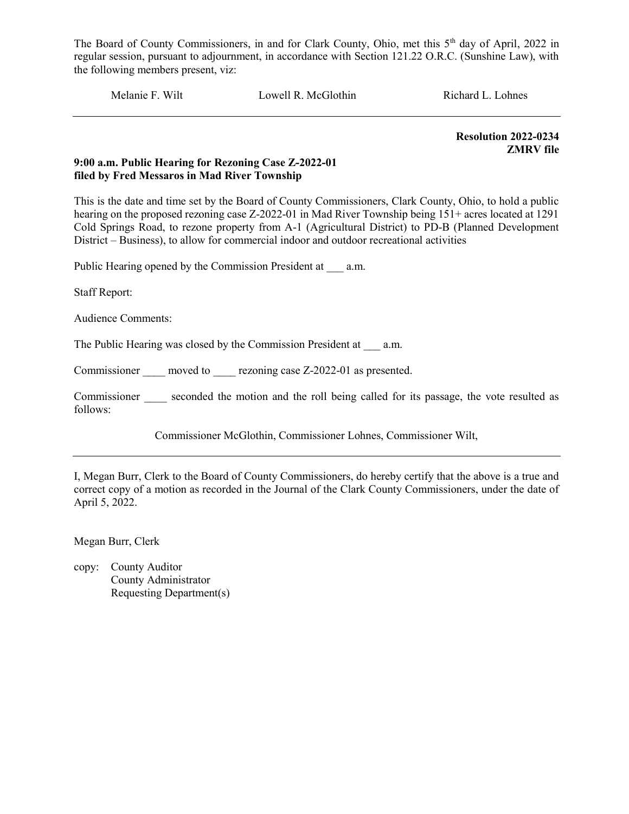Melanie F. Wilt Lowell R. McGlothin Richard L. Lohnes

Resolution 2022-0234 ZMRV file

# 9:00 a.m. Public Hearing for Rezoning Case Z-2022-01 filed by Fred Messaros in Mad River Township

This is the date and time set by the Board of County Commissioners, Clark County, Ohio, to hold a public hearing on the proposed rezoning case Z-2022-01 in Mad River Township being 151+ acres located at 1291 Cold Springs Road, to rezone property from A-1 (Agricultural District) to PD-B (Planned Development District – Business), to allow for commercial indoor and outdoor recreational activities

Public Hearing opened by the Commission President at \_\_\_ a.m.

Staff Report:

Audience Comments:

The Public Hearing was closed by the Commission President at a.m.

Commissioner moved to rezoning case Z-2022-01 as presented.

Commissioner seconded the motion and the roll being called for its passage, the vote resulted as follows:

Commissioner McGlothin, Commissioner Lohnes, Commissioner Wilt,

I, Megan Burr, Clerk to the Board of County Commissioners, do hereby certify that the above is a true and correct copy of a motion as recorded in the Journal of the Clark County Commissioners, under the date of April 5, 2022.

Megan Burr, Clerk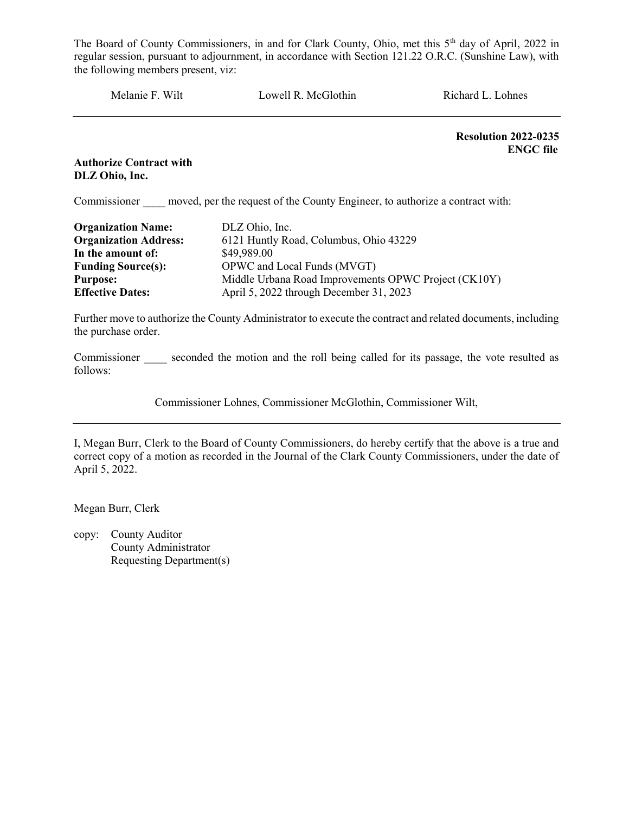Melanie F. Wilt Lowell R. McGlothin Richard L. Lohnes

Resolution 2022-0235 ENGC file

Authorize Contract with DLZ Ohio, Inc.

Commissioner moved, per the request of the County Engineer, to authorize a contract with:

| <b>Organization Name:</b>    | DLZ Ohio, Inc.                                       |
|------------------------------|------------------------------------------------------|
| <b>Organization Address:</b> | 6121 Huntly Road, Columbus, Ohio 43229               |
| In the amount of:            | \$49,989.00                                          |
| <b>Funding Source(s):</b>    | OPWC and Local Funds (MVGT)                          |
| <b>Purpose:</b>              | Middle Urbana Road Improvements OPWC Project (CK10Y) |
| <b>Effective Dates:</b>      | April 5, 2022 through December 31, 2023              |

Further move to authorize the County Administrator to execute the contract and related documents, including the purchase order.

Commissioner seconded the motion and the roll being called for its passage, the vote resulted as follows:

Commissioner Lohnes, Commissioner McGlothin, Commissioner Wilt,

I, Megan Burr, Clerk to the Board of County Commissioners, do hereby certify that the above is a true and correct copy of a motion as recorded in the Journal of the Clark County Commissioners, under the date of April 5, 2022.

Megan Burr, Clerk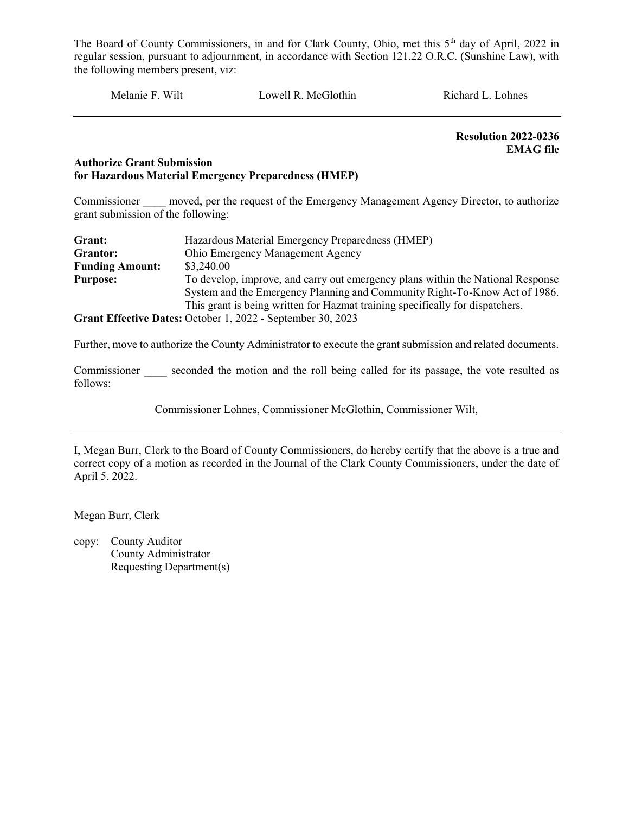Melanie F. Wilt Lowell R. McGlothin Richard L. Lohnes

 Resolution 2022-0236 EMAG file

# Authorize Grant Submission for Hazardous Material Emergency Preparedness (HMEP)

Commissioner moved, per the request of the Emergency Management Agency Director, to authorize grant submission of the following:

| Grant:                 | Hazardous Material Emergency Preparedness (HMEP)                                |
|------------------------|---------------------------------------------------------------------------------|
| Grantor:               | Ohio Emergency Management Agency                                                |
| <b>Funding Amount:</b> | \$3,240.00                                                                      |
| <b>Purpose:</b>        | To develop, improve, and carry out emergency plans within the National Response |
|                        | System and the Emergency Planning and Community Right-To-Know Act of 1986.      |
|                        | This grant is being written for Hazmat training specifically for dispatchers.   |
|                        | Grant Effective Dates: October 1, 2022 - September 30, 2023                     |

Further, move to authorize the County Administrator to execute the grant submission and related documents.

Commissioner seconded the motion and the roll being called for its passage, the vote resulted as follows:

Commissioner Lohnes, Commissioner McGlothin, Commissioner Wilt,

I, Megan Burr, Clerk to the Board of County Commissioners, do hereby certify that the above is a true and correct copy of a motion as recorded in the Journal of the Clark County Commissioners, under the date of April 5, 2022.

Megan Burr, Clerk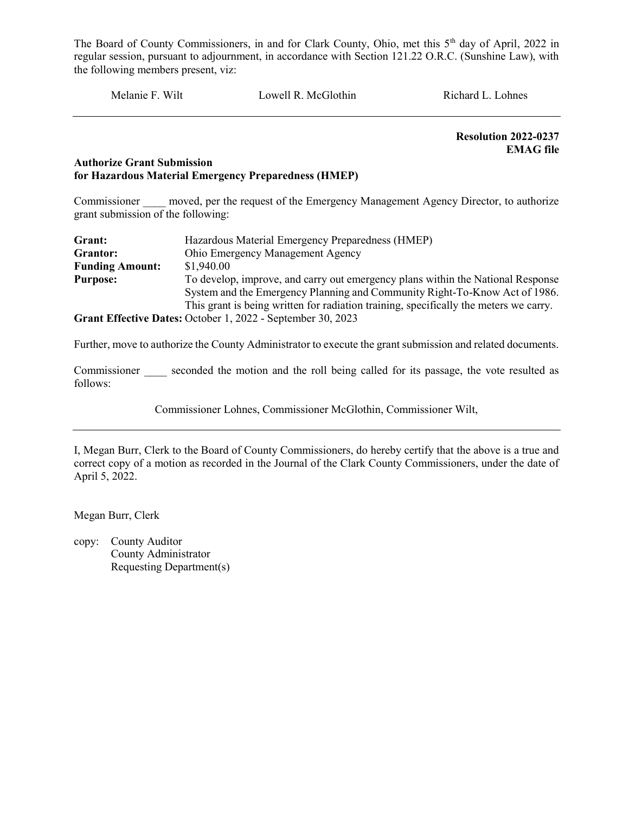Melanie F. Wilt Lowell R. McGlothin Richard L. Lohnes

 Resolution 2022-0237 EMAG file

# Authorize Grant Submission for Hazardous Material Emergency Preparedness (HMEP)

Commissioner moved, per the request of the Emergency Management Agency Director, to authorize grant submission of the following:

| Grant:                 | Hazardous Material Emergency Preparedness (HMEP)                                      |
|------------------------|---------------------------------------------------------------------------------------|
| Grantor:               | Ohio Emergency Management Agency                                                      |
| <b>Funding Amount:</b> | \$1,940.00                                                                            |
| <b>Purpose:</b>        | To develop, improve, and carry out emergency plans within the National Response       |
|                        | System and the Emergency Planning and Community Right-To-Know Act of 1986.            |
|                        | This grant is being written for radiation training, specifically the meters we carry. |
|                        | Grant Effective Dates: October 1, 2022 - September 30, 2023                           |

Further, move to authorize the County Administrator to execute the grant submission and related documents.

Commissioner seconded the motion and the roll being called for its passage, the vote resulted as follows:

Commissioner Lohnes, Commissioner McGlothin, Commissioner Wilt,

I, Megan Burr, Clerk to the Board of County Commissioners, do hereby certify that the above is a true and correct copy of a motion as recorded in the Journal of the Clark County Commissioners, under the date of April 5, 2022.

Megan Burr, Clerk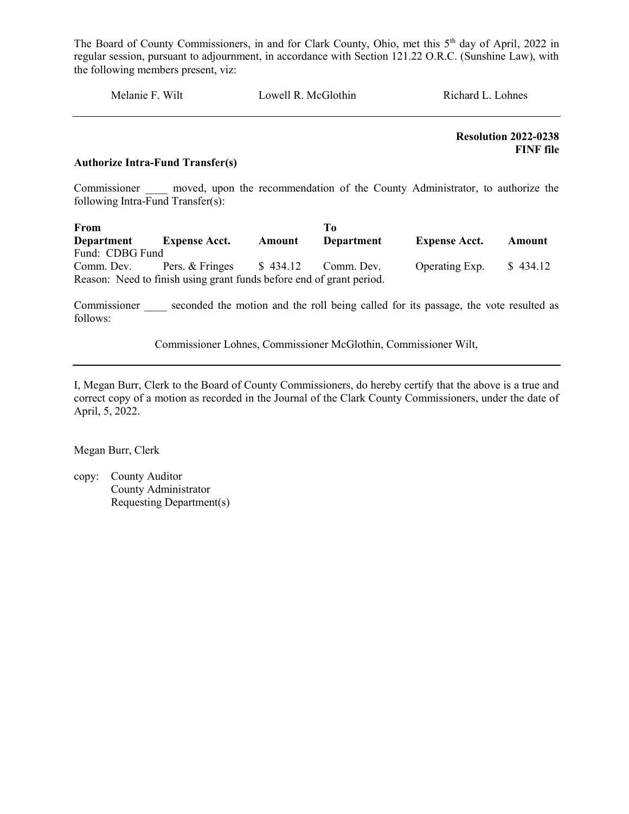Melanie F. Wilt Lowell R. McGlothin Richard L. Lohnes

 Resolution 2022-0238 FINF file

# Authorize Intra-Fund Transfer(s)

Commissioner and moved, upon the recommendation of the County Administrator, to authorize the following Intra-Fund Transfer(s):

| From              |                                                                      |          | To         |                      |          |
|-------------------|----------------------------------------------------------------------|----------|------------|----------------------|----------|
| <b>Department</b> | <b>Expense Acct.</b>                                                 | Amount   | Department | <b>Expense Acct.</b> | Amount   |
| Fund: CDBG Fund   |                                                                      |          |            |                      |          |
| Comm. Dev.        | Pers. & Fringes                                                      | \$434.12 | Comm. Dev. | Operating Exp.       | \$434.12 |
|                   | Reason: Need to finish using grant funds before end of grant period. |          |            |                      |          |

Commissioner seconded the motion and the roll being called for its passage, the vote resulted as follows:

Commissioner Lohnes, Commissioner McGlothin, Commissioner Wilt,

I, Megan Burr, Clerk to the Board of County Commissioners, do hereby certify that the above is a true and correct copy of a motion as recorded in the Journal of the Clark County Commissioners, under the date of April, 5, 2022.

Megan Burr, Clerk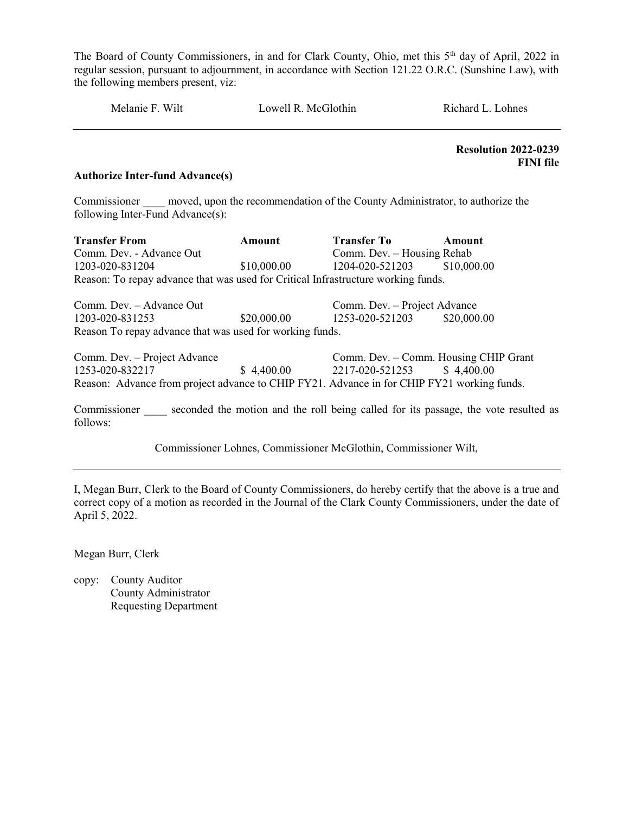Melanie F. Wilt Cowell R. McGlothin Richard L. Lohnes

 Resolution 2022-0239 FINI file

#### Authorize Inter-fund Advance(s)

Commissioner moved, upon the recommendation of the County Administrator, to authorize the following Inter-Fund Advance(s):

| <b>Transfer From</b>                                                                       | <b>Amount</b> | <b>Transfer To</b>                    | Amount                                                                              |
|--------------------------------------------------------------------------------------------|---------------|---------------------------------------|-------------------------------------------------------------------------------------|
| Comm. Dev. - Advance Out                                                                   |               | Comm. Dev. - Housing Rehab            |                                                                                     |
| 1203-020-831204                                                                            | \$10,000.00   | 1204-020-521203                       | \$10,000.00                                                                         |
| Reason: To repay advance that was used for Critical Infrastructure working funds.          |               |                                       |                                                                                     |
| Comm. Dev. - Advance Out                                                                   |               | Comm. Dev. - Project Advance          |                                                                                     |
| \$20,000.00<br>1203-020-831253                                                             |               | 1253-020-521203                       | \$20,000.00                                                                         |
| Reason To repay advance that was used for working funds.                                   |               |                                       |                                                                                     |
| Comm. Dev. - Project Advance                                                               |               | Comm. Dev. - Comm. Housing CHIP Grant |                                                                                     |
| 1253-020-832217                                                                            | \$4,400.00    | 2217-020-521253                       | \$4,400.00                                                                          |
| Reason: Advance from project advance to CHIP FY21. Advance in for CHIP FY21 working funds. |               |                                       |                                                                                     |
| Commissioner                                                                               |               |                                       | seconded the motion and the roll being called for its passage, the vote resulted as |

Commissioner Lohnes, Commissioner McGlothin, Commissioner Wilt,

I, Megan Burr, Clerk to the Board of County Commissioners, do hereby certify that the above is a true and correct copy of a motion as recorded in the Journal of the Clark County Commissioners, under the date of April 5, 2022.

Megan Burr, Clerk

follows: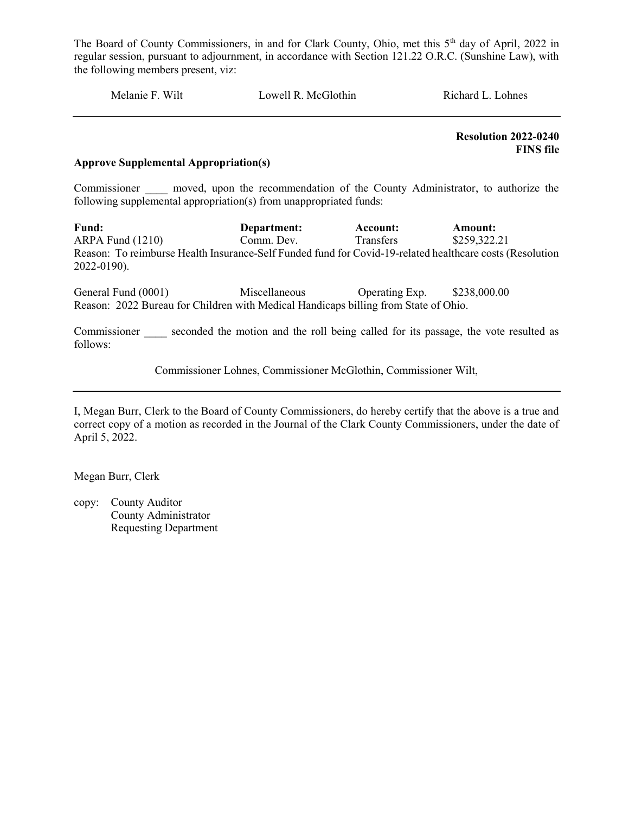Melanie F. Wilt Lowell R. McGlothin Richard L. Lohnes

 Resolution 2022-0240 FINS file

#### Approve Supplemental Appropriation(s)

Commissioner and moved, upon the recommendation of the County Administrator, to authorize the following supplemental appropriation(s) from unappropriated funds:

Fund: Department: Account: Amount: ARPA Fund (1210) Comm. Dev. Transfers \$259,322.21 Reason: To reimburse Health Insurance-Self Funded fund for Covid-19-related healthcare costs (Resolution 2022-0190).

General Fund (0001) Miscellaneous Operating Exp. \$238,000.00 Reason: 2022 Bureau for Children with Medical Handicaps billing from State of Ohio.

Commissioner seconded the motion and the roll being called for its passage, the vote resulted as follows:

Commissioner Lohnes, Commissioner McGlothin, Commissioner Wilt,

I, Megan Burr, Clerk to the Board of County Commissioners, do hereby certify that the above is a true and correct copy of a motion as recorded in the Journal of the Clark County Commissioners, under the date of April 5, 2022.

Megan Burr, Clerk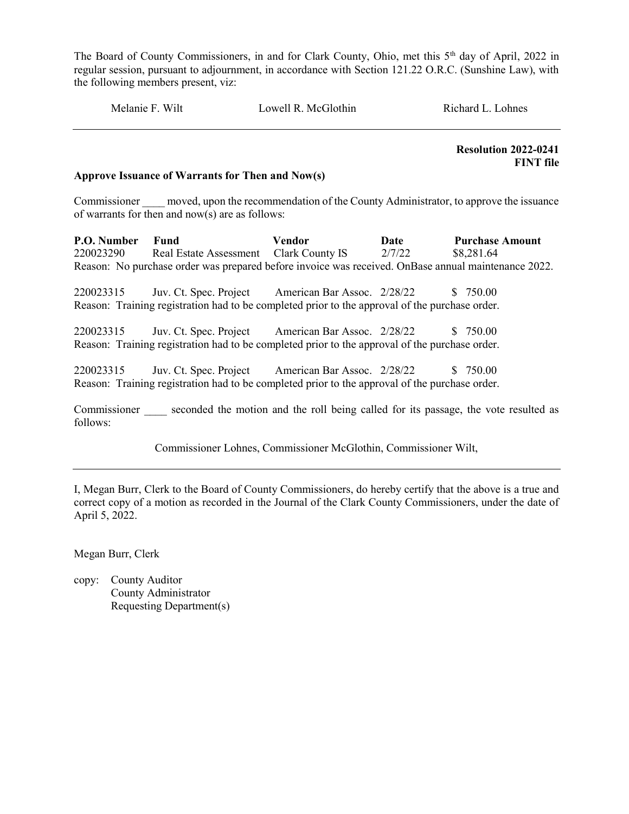Melanie F. Wilt Cowell R. McGlothin Richard L. Lohnes

 Resolution 2022-0241 FINT file

## Approve Issuance of Warrants for Then and Now(s)

Commissioner moved, upon the recommendation of the County Administrator, to approve the issuance of warrants for then and now(s) are as follows:

P.O. Number Fund Vendor Date Purchase Amount 220023290 Real Estate Assessment Clark County IS 2/7/22 \$8,281.64 Reason: No purchase order was prepared before invoice was received. OnBase annual maintenance 2022.

220023315 Juv. Ct. Spec. Project American Bar Assoc. 2/28/22 \$ 750.00 Reason: Training registration had to be completed prior to the approval of the purchase order.

220023315 Juv. Ct. Spec. Project American Bar Assoc. 2/28/22 \$ 750.00 Reason: Training registration had to be completed prior to the approval of the purchase order.

220023315 Juv. Ct. Spec. Project American Bar Assoc. 2/28/22 \$ 750.00 Reason: Training registration had to be completed prior to the approval of the purchase order.

Commissioner seconded the motion and the roll being called for its passage, the vote resulted as follows:

Commissioner Lohnes, Commissioner McGlothin, Commissioner Wilt,

I, Megan Burr, Clerk to the Board of County Commissioners, do hereby certify that the above is a true and correct copy of a motion as recorded in the Journal of the Clark County Commissioners, under the date of April 5, 2022.

Megan Burr, Clerk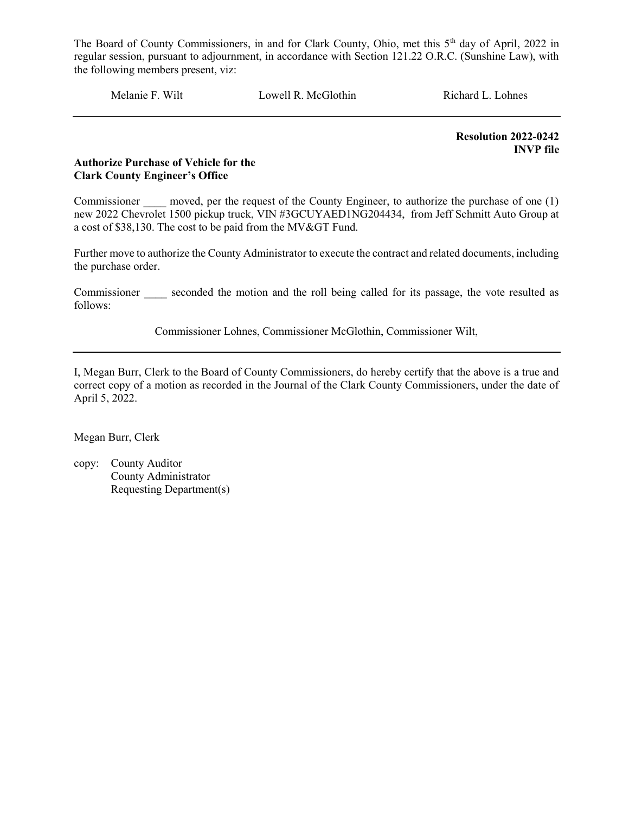Melanie F. Wilt Lowell R. McGlothin Richard L. Lohnes

Resolution 2022-0242 INVP file

# Authorize Purchase of Vehicle for the Clark County Engineer's Office

Commissioner moved, per the request of the County Engineer, to authorize the purchase of one (1) new 2022 Chevrolet 1500 pickup truck, VIN #3GCUYAED1NG204434, from Jeff Schmitt Auto Group at a cost of \$38,130. The cost to be paid from the MV&GT Fund.

Further move to authorize the County Administrator to execute the contract and related documents, including the purchase order.

Commissioner seconded the motion and the roll being called for its passage, the vote resulted as follows:

Commissioner Lohnes, Commissioner McGlothin, Commissioner Wilt,

I, Megan Burr, Clerk to the Board of County Commissioners, do hereby certify that the above is a true and correct copy of a motion as recorded in the Journal of the Clark County Commissioners, under the date of April 5, 2022.

Megan Burr, Clerk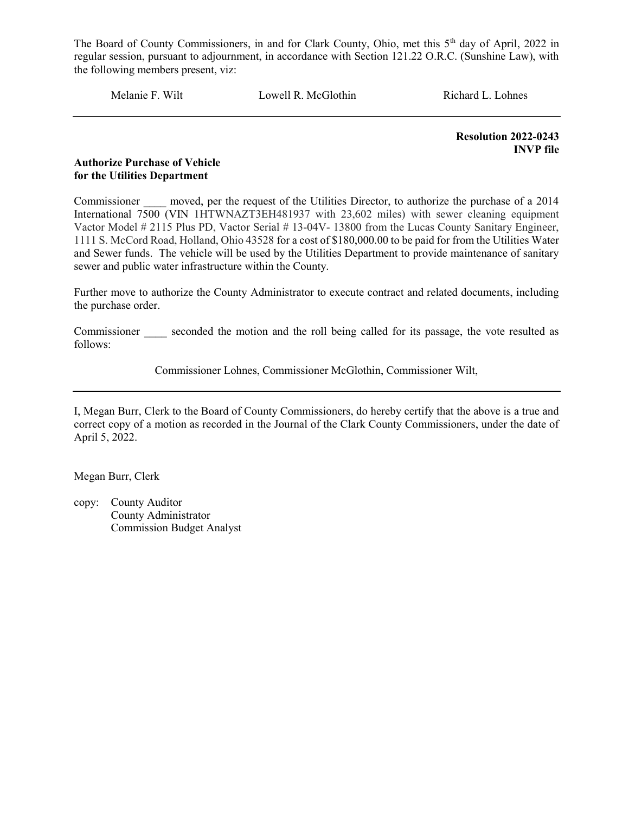Melanie F. Wilt Lowell R. McGlothin Richard L. Lohnes

 Resolution 2022-0243 INVP file

# Authorize Purchase of Vehicle for the Utilities Department

Commissioner moved, per the request of the Utilities Director, to authorize the purchase of a 2014 International 7500 (VIN 1HTWNAZT3EH481937 with 23,602 miles) with sewer cleaning equipment Vactor Model # 2115 Plus PD, Vactor Serial # 13-04V- 13800 from the Lucas County Sanitary Engineer, 1111 S. McCord Road, Holland, Ohio 43528 for a cost of \$180,000.00 to be paid for from the Utilities Water and Sewer funds. The vehicle will be used by the Utilities Department to provide maintenance of sanitary sewer and public water infrastructure within the County.

Further move to authorize the County Administrator to execute contract and related documents, including the purchase order.

Commissioner seconded the motion and the roll being called for its passage, the vote resulted as follows:

Commissioner Lohnes, Commissioner McGlothin, Commissioner Wilt,

I, Megan Burr, Clerk to the Board of County Commissioners, do hereby certify that the above is a true and correct copy of a motion as recorded in the Journal of the Clark County Commissioners, under the date of April 5, 2022.

Megan Burr, Clerk

copy: County Auditor County Administrator Commission Budget Analyst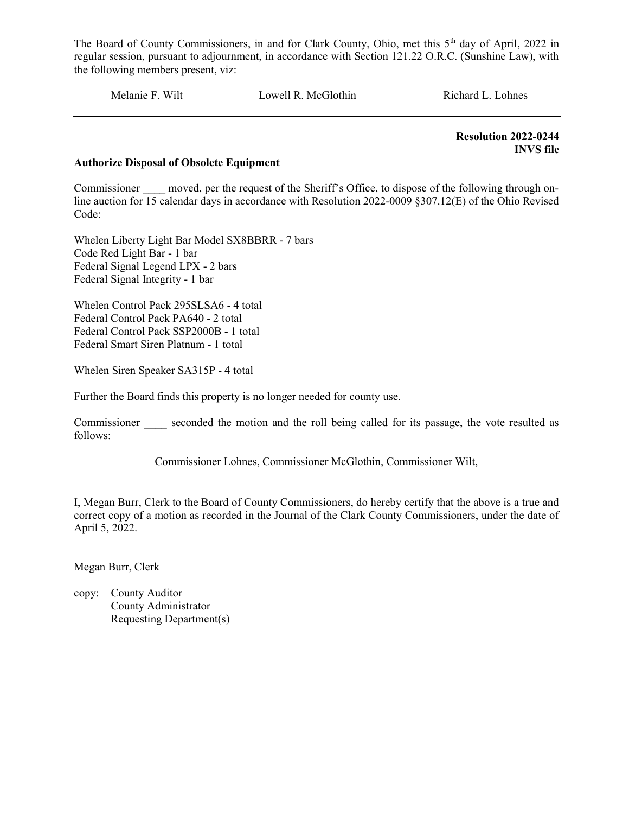Melanie F. Wilt Lowell R. McGlothin Richard L. Lohnes

 Resolution 2022-0244 INVS file

# Authorize Disposal of Obsolete Equipment

Commissioner moved, per the request of the Sheriff's Office, to dispose of the following through online auction for 15 calendar days in accordance with Resolution 2022-0009 §307.12(E) of the Ohio Revised Code:

Whelen Liberty Light Bar Model SX8BBRR - 7 bars Code Red Light Bar - 1 bar Federal Signal Legend LPX - 2 bars Federal Signal Integrity - 1 bar

Whelen Control Pack 295SLSA6 - 4 total Federal Control Pack PA640 - 2 total Federal Control Pack SSP2000B - 1 total Federal Smart Siren Platnum - 1 total

Whelen Siren Speaker SA315P - 4 total

Further the Board finds this property is no longer needed for county use.

Commissioner seconded the motion and the roll being called for its passage, the vote resulted as follows:

Commissioner Lohnes, Commissioner McGlothin, Commissioner Wilt,

I, Megan Burr, Clerk to the Board of County Commissioners, do hereby certify that the above is a true and correct copy of a motion as recorded in the Journal of the Clark County Commissioners, under the date of April 5, 2022.

Megan Burr, Clerk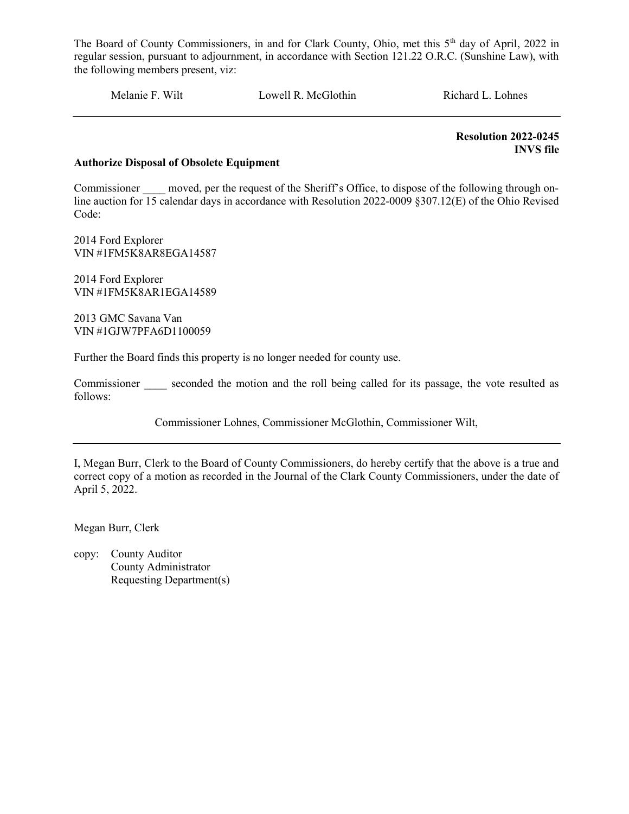Melanie F. Wilt Lowell R. McGlothin Richard L. Lohnes

 Resolution 2022-0245 INVS file

# Authorize Disposal of Obsolete Equipment

Commissioner moved, per the request of the Sheriff's Office, to dispose of the following through online auction for 15 calendar days in accordance with Resolution 2022-0009 §307.12(E) of the Ohio Revised Code:

2014 Ford Explorer VIN #1FM5K8AR8EGA14587

2014 Ford Explorer VIN #1FM5K8AR1EGA14589

2013 GMC Savana Van VIN #1GJW7PFA6D1100059

Further the Board finds this property is no longer needed for county use.

Commissioner seconded the motion and the roll being called for its passage, the vote resulted as follows:

Commissioner Lohnes, Commissioner McGlothin, Commissioner Wilt,

I, Megan Burr, Clerk to the Board of County Commissioners, do hereby certify that the above is a true and correct copy of a motion as recorded in the Journal of the Clark County Commissioners, under the date of April 5, 2022.

Megan Burr, Clerk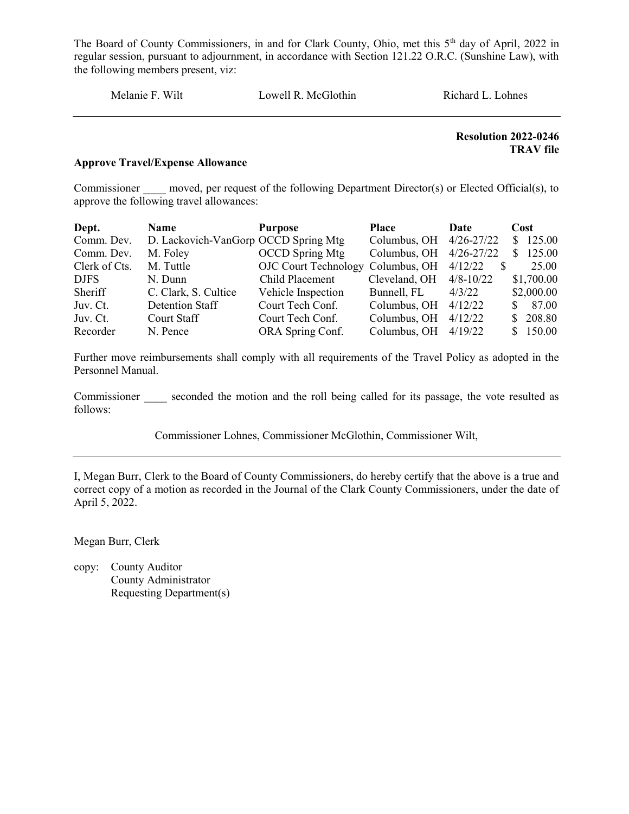Melanie F. Wilt Lowell R. McGlothin Richard L. Lohnes

# Resolution 2022-0246 TRAV file

#### Approve Travel/Expense Allowance

Commissioner moved, per request of the following Department Director(s) or Elected Official(s), to approve the following travel allowances:

| Dept.         | <b>Name</b>                          | <b>Purpose</b>                    | Place                   | Date                    | Cost       |
|---------------|--------------------------------------|-----------------------------------|-------------------------|-------------------------|------------|
| Comm. Dev.    | D. Lackovich-VanGorp OCCD Spring Mtg |                                   | Columbus, OH 4/26-27/22 |                         | \$125.00   |
| Comm. Dev.    | M. Foley                             | <b>OCCD</b> Spring Mtg            | Columbus, OH            | $4/26 - 27/22$          | \$125.00   |
| Clerk of Cts. | M. Tuttle                            | OJC Court Technology Columbus, OH |                         | 4/12/22<br><sup>S</sup> | 25.00      |
| DJFS          | N. Dunn                              | Child Placement                   | Cleveland, OH           | $4/8 - 10/22$           | \$1,700.00 |
| Sheriff       | C. Clark, S. Cultice                 | Vehicle Inspection                | Bunnell, FL             | 4/3/22                  | \$2,000.00 |
| Juv. Ct.      | Detention Staff                      | Court Tech Conf.                  | Columbus, OH            | 4/12/22                 | \$87.00    |
| Juv. Ct.      | Court Staff                          | Court Tech Conf.                  | Columbus, OH            | 4/12/22                 | \$ 208.80  |
| Recorder      | N. Pence                             | ORA Spring Conf.                  | Columbus, OH            | 4/19/22                 | \$150.00   |

Further move reimbursements shall comply with all requirements of the Travel Policy as adopted in the Personnel Manual.

Commissioner seconded the motion and the roll being called for its passage, the vote resulted as follows:

Commissioner Lohnes, Commissioner McGlothin, Commissioner Wilt,

I, Megan Burr, Clerk to the Board of County Commissioners, do hereby certify that the above is a true and correct copy of a motion as recorded in the Journal of the Clark County Commissioners, under the date of April 5, 2022.

Megan Burr, Clerk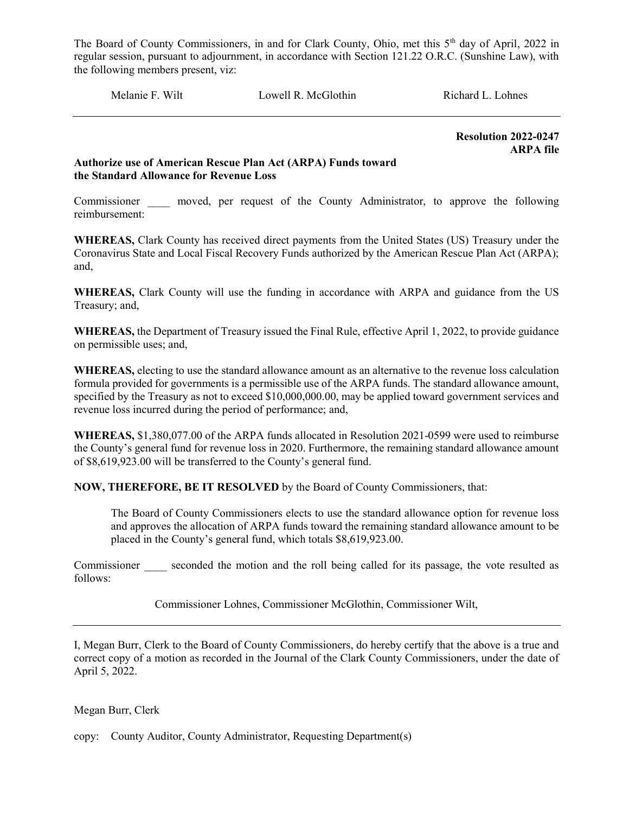Melanie F. Wilt **Lowell R. McGlothin** Richard L. Lohnes

 Resolution 2022-0247 ARPA file

# Authorize use of American Rescue Plan Act (ARPA) Funds toward the Standard Allowance for Revenue Loss

Commissioner moved, per request of the County Administrator, to approve the following reimbursement:

WHEREAS, Clark County has received direct payments from the United States (US) Treasury under the Coronavirus State and Local Fiscal Recovery Funds authorized by the American Rescue Plan Act (ARPA); and,

WHEREAS, Clark County will use the funding in accordance with ARPA and guidance from the US Treasury; and,

WHEREAS, the Department of Treasury issued the Final Rule, effective April 1, 2022, to provide guidance on permissible uses; and,

WHEREAS, electing to use the standard allowance amount as an alternative to the revenue loss calculation formula provided for governments is a permissible use of the ARPA funds. The standard allowance amount, specified by the Treasury as not to exceed \$10,000,000.00, may be applied toward government services and revenue loss incurred during the period of performance; and,

WHEREAS, \$1,380,077.00 of the ARPA funds allocated in Resolution 2021-0599 were used to reimburse the County's general fund for revenue loss in 2020. Furthermore, the remaining standard allowance amount of \$8,619,923.00 will be transferred to the County's general fund.

NOW, THEREFORE, BE IT RESOLVED by the Board of County Commissioners, that:

The Board of County Commissioners elects to use the standard allowance option for revenue loss and approves the allocation of ARPA funds toward the remaining standard allowance amount to be placed in the County's general fund, which totals \$8,619,923.00.

Commissioner seconded the motion and the roll being called for its passage, the vote resulted as follows:

Commissioner Lohnes, Commissioner McGlothin, Commissioner Wilt,

I, Megan Burr, Clerk to the Board of County Commissioners, do hereby certify that the above is a true and correct copy of a motion as recorded in the Journal of the Clark County Commissioners, under the date of April 5, 2022.

# Megan Burr, Clerk